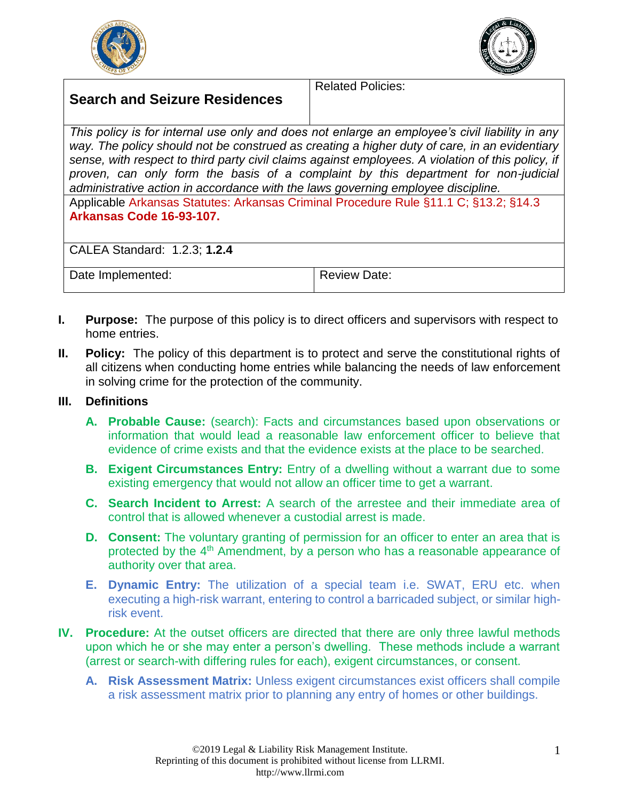



## **Search and Seizure Residences**

Related Policies:

*This policy is for internal use only and does not enlarge an employee's civil liability in any way. The policy should not be construed as creating a higher duty of care, in an evidentiary sense, with respect to third party civil claims against employees. A violation of this policy, if proven, can only form the basis of a complaint by this department for non-judicial administrative action in accordance with the laws governing employee discipline.*

Applicable Arkansas Statutes: Arkansas Criminal Procedure Rule §11.1 C; §13.2; §14.3 **Arkansas Code 16-93-107.**

CALEA Standard: 1.2.3; **1.2.4**

Date Implemented: <br> Review Date:

- **I. Purpose:** The purpose of this policy is to direct officers and supervisors with respect to home entries.
- **II. Policy:** The policy of this department is to protect and serve the constitutional rights of all citizens when conducting home entries while balancing the needs of law enforcement in solving crime for the protection of the community.

## **III. Definitions**

- **A. Probable Cause:** (search): Facts and circumstances based upon observations or information that would lead a reasonable law enforcement officer to believe that evidence of crime exists and that the evidence exists at the place to be searched.
- **B. Exigent Circumstances Entry:** Entry of a dwelling without a warrant due to some existing emergency that would not allow an officer time to get a warrant.
- **C. Search Incident to Arrest:** A search of the arrestee and their immediate area of control that is allowed whenever a custodial arrest is made.
- **D. Consent:** The voluntary granting of permission for an officer to enter an area that is protected by the 4<sup>th</sup> Amendment, by a person who has a reasonable appearance of authority over that area.
- **E. Dynamic Entry:** The utilization of a special team i.e. SWAT, ERU etc. when executing a high-risk warrant, entering to control a barricaded subject, or similar highrisk event.
- **IV. Procedure:** At the outset officers are directed that there are only three lawful methods upon which he or she may enter a person's dwelling. These methods include a warrant (arrest or search-with differing rules for each), exigent circumstances, or consent.
	- **A. Risk Assessment Matrix:** Unless exigent circumstances exist officers shall compile a risk assessment matrix prior to planning any entry of homes or other buildings.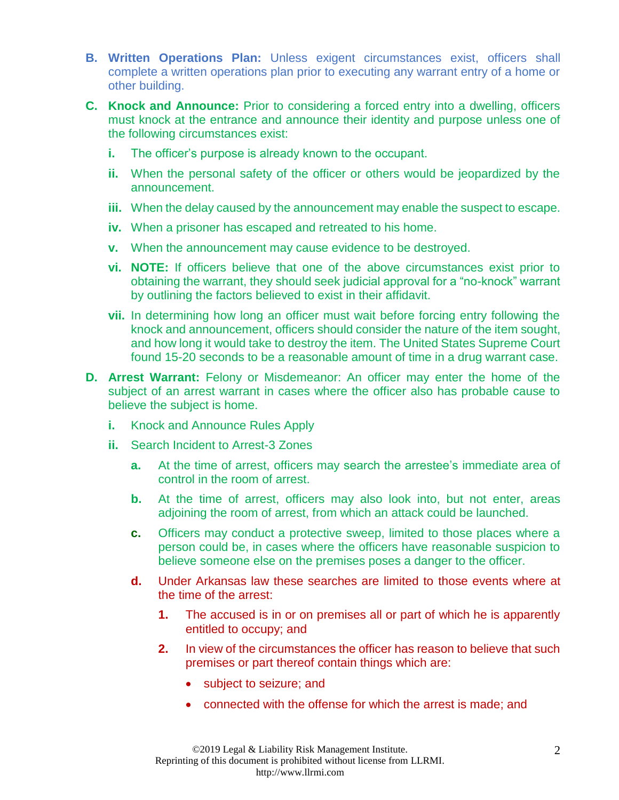- **B. Written Operations Plan:** Unless exigent circumstances exist, officers shall complete a written operations plan prior to executing any warrant entry of a home or other building.
- **C. Knock and Announce:** Prior to considering a forced entry into a dwelling, officers must knock at the entrance and announce their identity and purpose unless one of the following circumstances exist:
	- **i.** The officer's purpose is already known to the occupant.
	- **ii.** When the personal safety of the officer or others would be jeopardized by the announcement.
	- **iii.** When the delay caused by the announcement may enable the suspect to escape.
	- **iv.** When a prisoner has escaped and retreated to his home.
	- **v.** When the announcement may cause evidence to be destroyed.
	- **vi. NOTE:** If officers believe that one of the above circumstances exist prior to obtaining the warrant, they should seek judicial approval for a "no-knock" warrant by outlining the factors believed to exist in their affidavit.
	- **vii.** In determining how long an officer must wait before forcing entry following the knock and announcement, officers should consider the nature of the item sought, and how long it would take to destroy the item. The United States Supreme Court found 15-20 seconds to be a reasonable amount of time in a drug warrant case.
- **D. Arrest Warrant:** Felony or Misdemeanor: An officer may enter the home of the subject of an arrest warrant in cases where the officer also has probable cause to believe the subject is home.
	- **i.** Knock and Announce Rules Apply
	- **ii.** Search Incident to Arrest-3 Zones
		- **a.** At the time of arrest, officers may search the arrestee's immediate area of control in the room of arrest.
		- **b.** At the time of arrest, officers may also look into, but not enter, areas adjoining the room of arrest, from which an attack could be launched.
		- **c.** Officers may conduct a protective sweep, limited to those places where a person could be, in cases where the officers have reasonable suspicion to believe someone else on the premises poses a danger to the officer.
		- **d.** Under Arkansas law these searches are limited to those events where at the time of the arrest:
			- **1.** The accused is in or on premises all or part of which he is apparently entitled to occupy; and
			- **2.** In view of the circumstances the officer has reason to believe that such premises or part thereof contain things which are:
				- subject to seizure; and
				- connected with the offense for which the arrest is made; and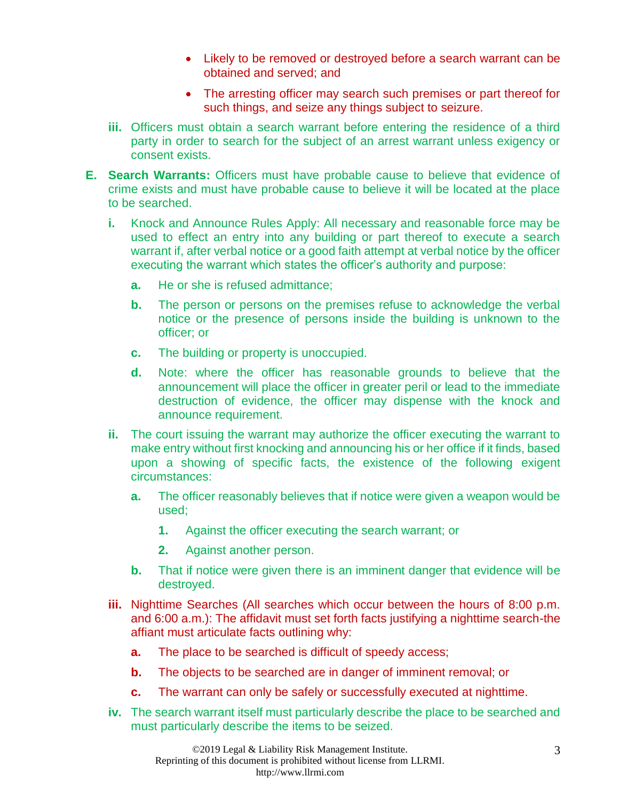- Likely to be removed or destroyed before a search warrant can be obtained and served; and
- The arresting officer may search such premises or part thereof for such things, and seize any things subject to seizure.
- **iii.** Officers must obtain a search warrant before entering the residence of a third party in order to search for the subject of an arrest warrant unless exigency or consent exists.
- **E. Search Warrants:** Officers must have probable cause to believe that evidence of crime exists and must have probable cause to believe it will be located at the place to be searched.
	- **i.** Knock and Announce Rules Apply: All necessary and reasonable force may be used to effect an entry into any building or part thereof to execute a search warrant if, after verbal notice or a good faith attempt at verbal notice by the officer executing the warrant which states the officer's authority and purpose:
		- **a.** He or she is refused admittance;
		- **b.** The person or persons on the premises refuse to acknowledge the verbal notice or the presence of persons inside the building is unknown to the officer; or
		- **c.** The building or property is unoccupied.
		- **d.** Note: where the officer has reasonable grounds to believe that the announcement will place the officer in greater peril or lead to the immediate destruction of evidence, the officer may dispense with the knock and announce requirement.
	- **ii.** The court issuing the warrant may authorize the officer executing the warrant to make entry without first knocking and announcing his or her office if it finds, based upon a showing of specific facts, the existence of the following exigent circumstances:
		- **a.** The officer reasonably believes that if notice were given a weapon would be used;
			- **1.** Against the officer executing the search warrant; or
			- **2.** Against another person.
		- **b.** That if notice were given there is an imminent danger that evidence will be destroyed.
	- **iii.** Nighttime Searches (All searches which occur between the hours of 8:00 p.m. and 6:00 a.m.): The affidavit must set forth facts justifying a nighttime search-the affiant must articulate facts outlining why:
		- **a.** The place to be searched is difficult of speedy access;
		- **b.** The objects to be searched are in danger of imminent removal; or
		- **c.** The warrant can only be safely or successfully executed at nighttime.
	- **iv.** The search warrant itself must particularly describe the place to be searched and must particularly describe the items to be seized.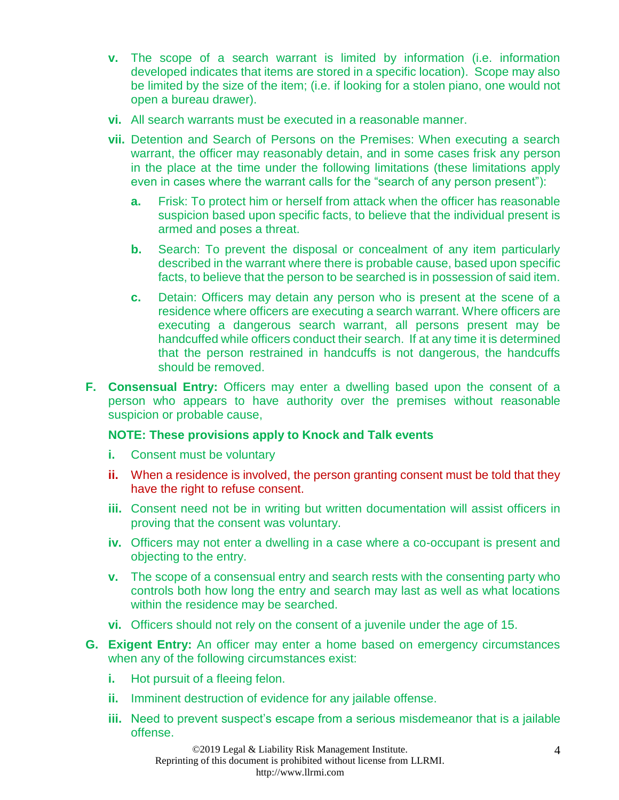- **v.** The scope of a search warrant is limited by information (i.e. information developed indicates that items are stored in a specific location). Scope may also be limited by the size of the item; (i.e. if looking for a stolen piano, one would not open a bureau drawer).
- **vi.** All search warrants must be executed in a reasonable manner.
- **vii.** Detention and Search of Persons on the Premises: When executing a search warrant, the officer may reasonably detain, and in some cases frisk any person in the place at the time under the following limitations (these limitations apply even in cases where the warrant calls for the "search of any person present"):
	- **a.** Frisk: To protect him or herself from attack when the officer has reasonable suspicion based upon specific facts, to believe that the individual present is armed and poses a threat.
	- **b.** Search: To prevent the disposal or concealment of any item particularly described in the warrant where there is probable cause, based upon specific facts, to believe that the person to be searched is in possession of said item.
	- **c.** Detain: Officers may detain any person who is present at the scene of a residence where officers are executing a search warrant. Where officers are executing a dangerous search warrant, all persons present may be handcuffed while officers conduct their search. If at any time it is determined that the person restrained in handcuffs is not dangerous, the handcuffs should be removed.
- **F. Consensual Entry:** Officers may enter a dwelling based upon the consent of a person who appears to have authority over the premises without reasonable suspicion or probable cause,

## **NOTE: These provisions apply to Knock and Talk events**

- **i.** Consent must be voluntary
- **ii.** When a residence is involved, the person granting consent must be told that they have the right to refuse consent.
- **iii.** Consent need not be in writing but written documentation will assist officers in proving that the consent was voluntary.
- **iv.** Officers may not enter a dwelling in a case where a co-occupant is present and objecting to the entry.
- **v.** The scope of a consensual entry and search rests with the consenting party who controls both how long the entry and search may last as well as what locations within the residence may be searched.
- **vi.** Officers should not rely on the consent of a juvenile under the age of 15.
- **G. Exigent Entry:** An officer may enter a home based on emergency circumstances when any of the following circumstances exist:
	- **i.** Hot pursuit of a fleeing felon.
	- **ii.** Imminent destruction of evidence for any jailable offense.
	- **iii.** Need to prevent suspect's escape from a serious misdemeanor that is a jailable offense.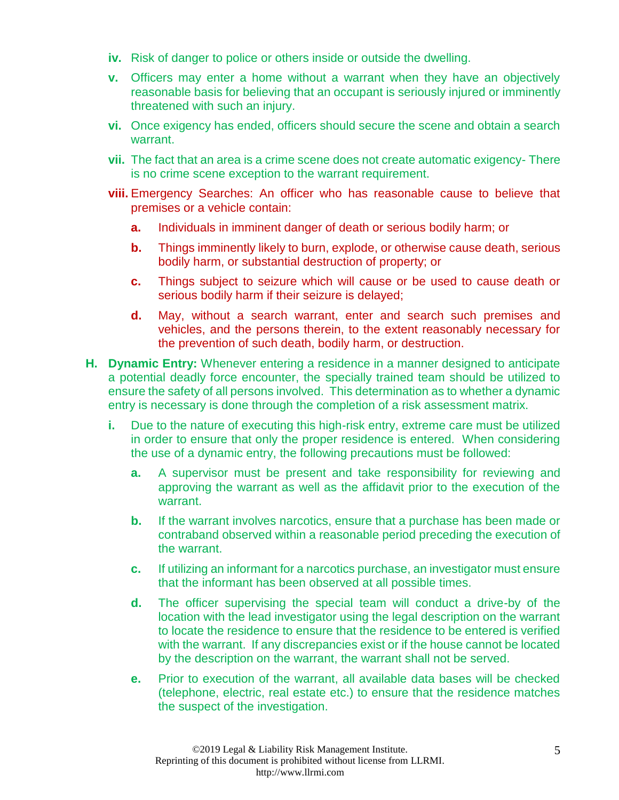- **iv.** Risk of danger to police or others inside or outside the dwelling.
- **v.** Officers may enter a home without a warrant when they have an objectively reasonable basis for believing that an occupant is seriously injured or imminently threatened with such an injury.
- **vi.** Once exigency has ended, officers should secure the scene and obtain a search warrant.
- **vii.** The fact that an area is a crime scene does not create automatic exigency- There is no crime scene exception to the warrant requirement.
- **viii.** Emergency Searches: An officer who has reasonable cause to believe that premises or a vehicle contain:
	- **a.** Individuals in imminent danger of death or serious bodily harm; or
	- **b.** Things imminently likely to burn, explode, or otherwise cause death, serious bodily harm, or substantial destruction of property; or
	- **c.** Things subject to seizure which will cause or be used to cause death or serious bodily harm if their seizure is delayed;
	- **d.** May, without a search warrant, enter and search such premises and vehicles, and the persons therein, to the extent reasonably necessary for the prevention of such death, bodily harm, or destruction.
- **H. Dynamic Entry:** Whenever entering a residence in a manner designed to anticipate a potential deadly force encounter, the specially trained team should be utilized to ensure the safety of all persons involved. This determination as to whether a dynamic entry is necessary is done through the completion of a risk assessment matrix.
	- **i.** Due to the nature of executing this high-risk entry, extreme care must be utilized in order to ensure that only the proper residence is entered. When considering the use of a dynamic entry, the following precautions must be followed:
		- **a.** A supervisor must be present and take responsibility for reviewing and approving the warrant as well as the affidavit prior to the execution of the warrant.
		- **b.** If the warrant involves narcotics, ensure that a purchase has been made or contraband observed within a reasonable period preceding the execution of the warrant.
		- **c.** If utilizing an informant for a narcotics purchase, an investigator must ensure that the informant has been observed at all possible times.
		- **d.** The officer supervising the special team will conduct a drive-by of the location with the lead investigator using the legal description on the warrant to locate the residence to ensure that the residence to be entered is verified with the warrant. If any discrepancies exist or if the house cannot be located by the description on the warrant, the warrant shall not be served.
		- **e.** Prior to execution of the warrant, all available data bases will be checked (telephone, electric, real estate etc.) to ensure that the residence matches the suspect of the investigation.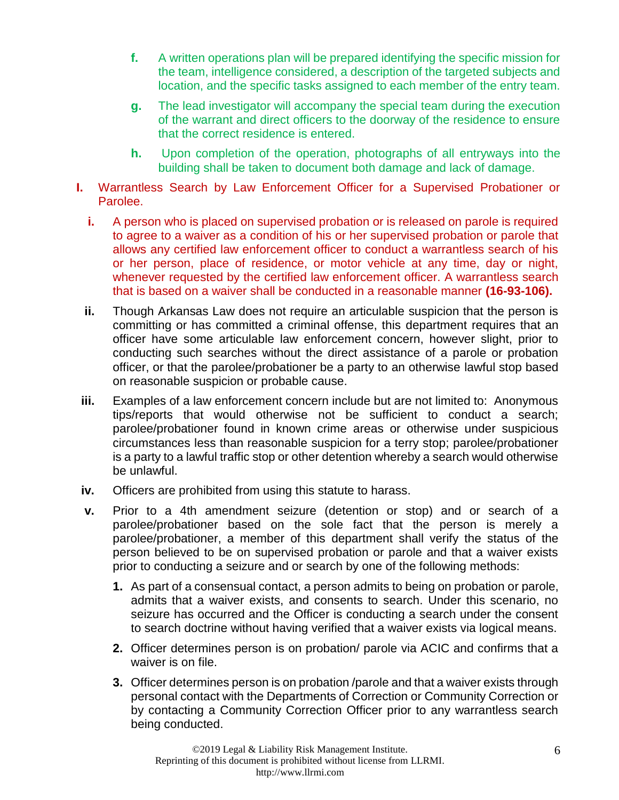- **f.** A written operations plan will be prepared identifying the specific mission for the team, intelligence considered, a description of the targeted subjects and location, and the specific tasks assigned to each member of the entry team.
- **g.** The lead investigator will accompany the special team during the execution of the warrant and direct officers to the doorway of the residence to ensure that the correct residence is entered.
- **h.** Upon completion of the operation, photographs of all entryways into the building shall be taken to document both damage and lack of damage.
- **I.** Warrantless Search by Law Enforcement Officer for a Supervised Probationer or Parolee.
	- **i.** A person who is placed on supervised probation or is released on parole is required to agree to a waiver as a condition of his or her supervised probation or parole that allows any certified law enforcement officer to conduct a warrantless search of his or her person, place of residence, or motor vehicle at any time, day or night, whenever requested by the certified law enforcement officer. A warrantless search that is based on a waiver shall be conducted in a reasonable manner **(16-93-106).**
	- **ii.** Though Arkansas Law does not require an articulable suspicion that the person is committing or has committed a criminal offense, this department requires that an officer have some articulable law enforcement concern, however slight, prior to conducting such searches without the direct assistance of a parole or probation officer, or that the parolee/probationer be a party to an otherwise lawful stop based on reasonable suspicion or probable cause.
- **iii.** Examples of a law enforcement concern include but are not limited to: Anonymous tips/reports that would otherwise not be sufficient to conduct a search; parolee/probationer found in known crime areas or otherwise under suspicious circumstances less than reasonable suspicion for a terry stop; parolee/probationer is a party to a lawful traffic stop or other detention whereby a search would otherwise be unlawful.
- **iv.** Officers are prohibited from using this statute to harass.
- **v.** Prior to a 4th amendment seizure (detention or stop) and or search of a parolee/probationer based on the sole fact that the person is merely a parolee/probationer, a member of this department shall verify the status of the person believed to be on supervised probation or parole and that a waiver exists prior to conducting a seizure and or search by one of the following methods:
	- **1.** As part of a consensual contact, a person admits to being on probation or parole, admits that a waiver exists, and consents to search. Under this scenario, no seizure has occurred and the Officer is conducting a search under the consent to search doctrine without having verified that a waiver exists via logical means.
	- **2.** Officer determines person is on probation/ parole via ACIC and confirms that a waiver is on file.
	- **3.** Officer determines person is on probation /parole and that a waiver exists through personal contact with the Departments of Correction or Community Correction or by contacting a Community Correction Officer prior to any warrantless search being conducted.